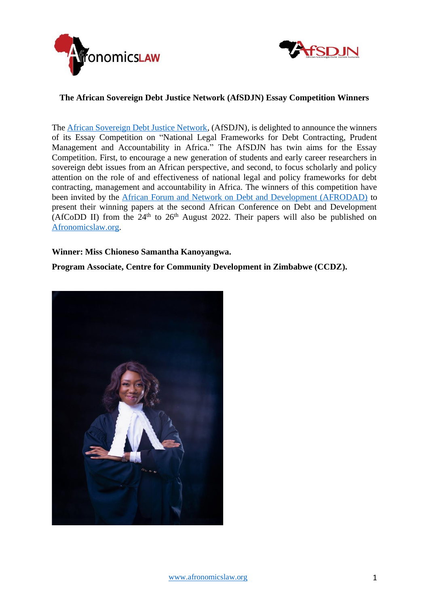



## **The African Sovereign Debt Justice Network (AfSDJN) Essay Competition Winners**

The [African Sovereign Debt Justice Network,](https://www.afronomicslaw.org/category/afsdjn) (AfSDJN), is delighted to announce the winners of its Essay Competition on "National Legal Frameworks for Debt Contracting, Prudent Management and Accountability in Africa." The AfSDJN has twin aims for the Essay Competition. First, to encourage a new generation of students and early career researchers in sovereign debt issues from an African perspective, and second, to focus scholarly and policy attention on the role of and effectiveness of national legal and policy frameworks for debt contracting, management and accountability in Africa. The winners of this competition have been invited by the [African Forum and Network on Debt and Development \(AFRODAD\)](http://www.afrodad.org/) to present their winning papers at the second African Conference on Debt and Development (AfCoDD II) from the  $24<sup>th</sup>$  to  $26<sup>th</sup>$  August 2022. Their papers will also be published on [Afronomicslaw.org.](https://www.afronomicslaw.org/index.php/)

## **Winner: Miss Chioneso Samantha Kanoyangwa.**

**Program Associate, Centre for Community Development in Zimbabwe (CCDZ).**

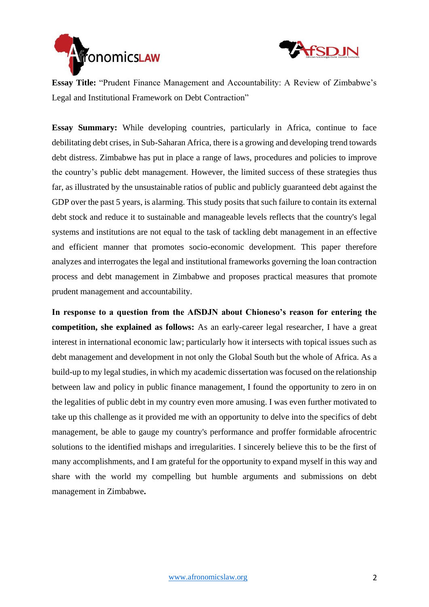



**Essay Title:** "Prudent Finance Management and Accountability: A Review of Zimbabwe's Legal and Institutional Framework on Debt Contraction"

**Essay Summary:** While developing countries, particularly in Africa, continue to face debilitating debt crises, in Sub-Saharan Africa, there is a growing and developing trend towards debt distress. Zimbabwe has put in place a range of laws, procedures and policies to improve the country's public debt management. However, the limited success of these strategies thus far, as illustrated by the unsustainable ratios of public and publicly guaranteed debt against the GDP over the past 5 years, is alarming. This study posits that such failure to contain its external debt stock and reduce it to sustainable and manageable levels reflects that the country's legal systems and institutions are not equal to the task of tackling debt management in an effective and efficient manner that promotes socio-economic development. This paper therefore analyzes and interrogates the legal and institutional frameworks governing the loan contraction process and debt management in Zimbabwe and proposes practical measures that promote prudent management and accountability.

**In response to a question from the AfSDJN about Chioneso's reason for entering the competition, she explained as follows:** As an early-career legal researcher, I have a great interest in international economic law; particularly how it intersects with topical issues such as debt management and development in not only the Global South but the whole of Africa. As a build-up to my legal studies, in which my academic dissertation was focused on the relationship between law and policy in public finance management, I found the opportunity to zero in on the legalities of public debt in my country even more amusing. I was even further motivated to take up this challenge as it provided me with an opportunity to delve into the specifics of debt management, be able to gauge my country's performance and proffer formidable afrocentric solutions to the identified mishaps and irregularities. I sincerely believe this to be the first of many accomplishments, and I am grateful for the opportunity to expand myself in this way and share with the world my compelling but humble arguments and submissions on debt management in Zimbabwe**.**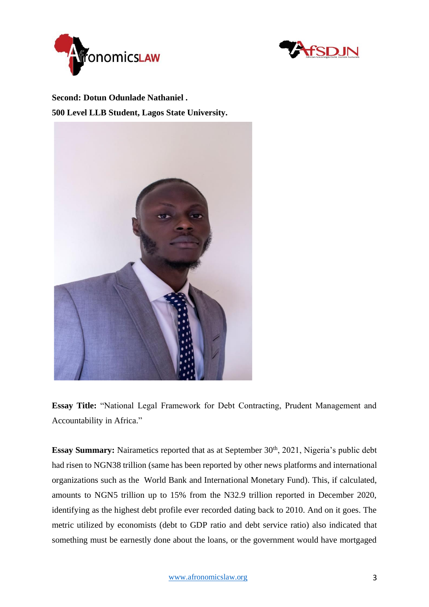



**Second: Dotun Odunlade Nathaniel . 500 Level LLB Student, Lagos State University.**



**Essay Title:** "National Legal Framework for Debt Contracting, Prudent Management and Accountability in Africa."

**Essay Summary:** Nairametics reported that as at September 30<sup>th</sup>, 2021, Nigeria's public debt had risen to NGN38 trillion (same has been reported by other news platforms and international organizations such as the World Bank and International Monetary Fund). This, if calculated, amounts to NGN5 trillion up to 15% from the N32.9 trillion reported in December 2020, identifying as the highest debt profile ever recorded dating back to 2010. And on it goes. The metric utilized by economists (debt to GDP ratio and debt service ratio) also indicated that something must be earnestly done about the loans, or the government would have mortgaged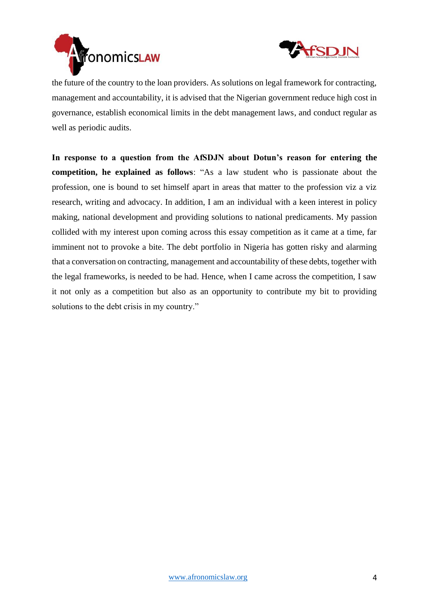



the future of the country to the loan providers. As solutions on legal framework for contracting, management and accountability, it is advised that the Nigerian government reduce high cost in governance, establish economical limits in the debt management laws, and conduct regular as well as periodic audits.

**In response to a question from the AfSDJN about Dotun's reason for entering the competition, he explained as follows**: "As a law student who is passionate about the profession, one is bound to set himself apart in areas that matter to the profession viz a viz research, writing and advocacy. In addition, I am an individual with a keen interest in policy making, national development and providing solutions to national predicaments. My passion collided with my interest upon coming across this essay competition as it came at a time, far imminent not to provoke a bite. The debt portfolio in Nigeria has gotten risky and alarming that a conversation on contracting, management and accountability of these debts, together with the legal frameworks, is needed to be had. Hence, when I came across the competition, I saw it not only as a competition but also as an opportunity to contribute my bit to providing solutions to the debt crisis in my country."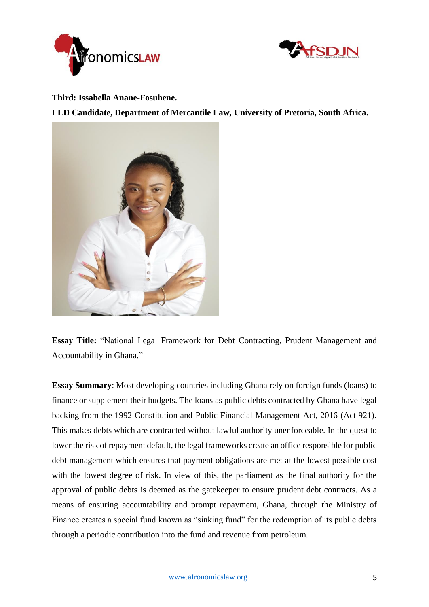



**Third: Issabella Anane-Fosuhene.**

**LLD Candidate, Department of Mercantile Law, University of Pretoria, South Africa.**



**Essay Title:** "National Legal Framework for Debt Contracting, Prudent Management and Accountability in Ghana."

**Essay Summary**: Most developing countries including Ghana rely on foreign funds (loans) to finance or supplement their budgets. The loans as public debts contracted by Ghana have legal backing from the 1992 Constitution and Public Financial Management Act, 2016 (Act 921). This makes debts which are contracted without lawful authority unenforceable. In the quest to lower the risk of repayment default, the legal frameworks create an office responsible for public debt management which ensures that payment obligations are met at the lowest possible cost with the lowest degree of risk. In view of this, the parliament as the final authority for the approval of public debts is deemed as the gatekeeper to ensure prudent debt contracts. As a means of ensuring accountability and prompt repayment, Ghana, through the Ministry of Finance creates a special fund known as "sinking fund" for the redemption of its public debts through a periodic contribution into the fund and revenue from petroleum.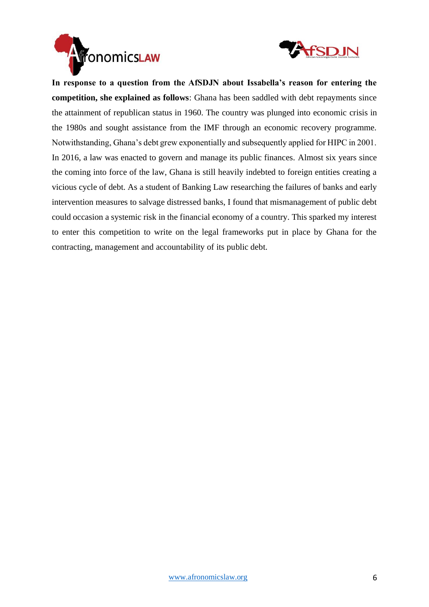



**In response to a question from the AfSDJN about Issabella's reason for entering the competition, she explained as follows**: Ghana has been saddled with debt repayments since the attainment of republican status in 1960. The country was plunged into economic crisis in the 1980s and sought assistance from the IMF through an economic recovery programme. Notwithstanding, Ghana's debt grew exponentially and subsequently applied for HIPC in 2001. In 2016, a law was enacted to govern and manage its public finances. Almost six years since the coming into force of the law, Ghana is still heavily indebted to foreign entities creating a vicious cycle of debt. As a student of Banking Law researching the failures of banks and early intervention measures to salvage distressed banks, I found that mismanagement of public debt could occasion a systemic risk in the financial economy of a country. This sparked my interest to enter this competition to write on the legal frameworks put in place by Ghana for the contracting, management and accountability of its public debt.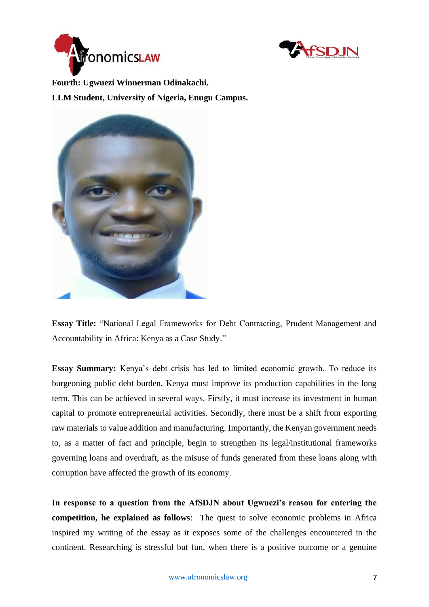



**Fourth: Ugwuezi Winnerman Odinakachi.**

**LLM Student, University of Nigeria, Enugu Campus.**



**Essay Title:** "National Legal Frameworks for Debt Contracting, Prudent Management and Accountability in Africa: Kenya as a Case Study."

**Essay Summary:** Kenya's debt crisis has led to limited economic growth. To reduce its burgeoning public debt burden, Kenya must improve its production capabilities in the long term. This can be achieved in several ways. Firstly, it must increase its investment in human capital to promote entrepreneurial activities. Secondly, there must be a shift from exporting raw materials to value addition and manufacturing. Importantly, the Kenyan government needs to, as a matter of fact and principle, begin to strengthen its legal/institutional frameworks governing loans and overdraft, as the misuse of funds generated from these loans along with corruption have affected the growth of its economy.

**In response to a question from the AfSDJN about Ugwuezi's reason for entering the competition, he explained as follows**: The quest to solve economic problems in Africa inspired my writing of the essay as it exposes some of the challenges encountered in the continent. Researching is stressful but fun, when there is a positive outcome or a genuine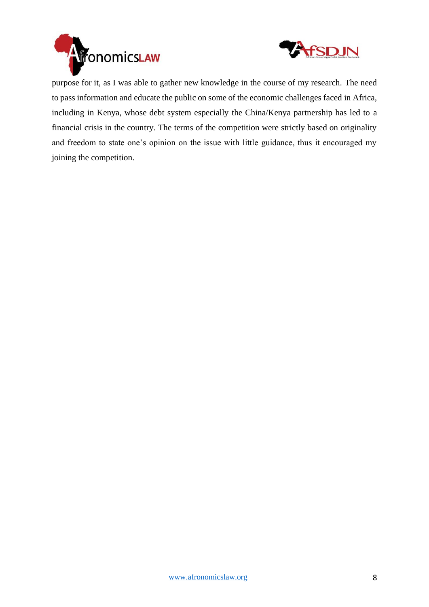



purpose for it, as I was able to gather new knowledge in the course of my research. The need to pass information and educate the public on some of the economic challenges faced in Africa, including in Kenya, whose debt system especially the China/Kenya partnership has led to a financial crisis in the country. The terms of the competition were strictly based on originality and freedom to state one's opinion on the issue with little guidance, thus it encouraged my joining the competition.